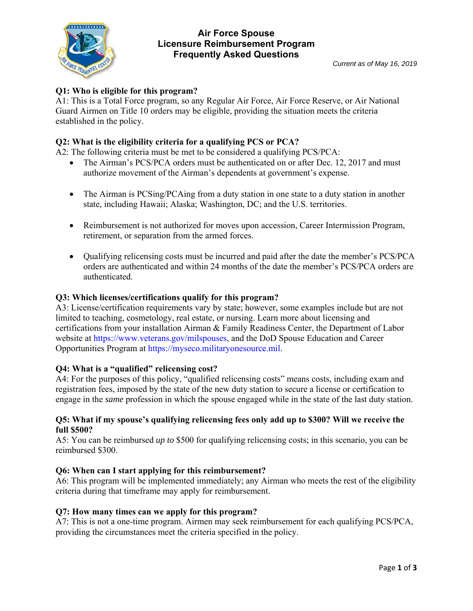

## **Air Force Spouse Licensure Reimbursement Program Frequently Asked Questions**

# **Q1: Who is eligible for this program?**

A1: This is a Total Force program, so any Regular Air Force, Air Force Reserve, or Air National Guard Airmen on Title 10 orders may be eligible, providing the situation meets the criteria established in the policy.

## **Q2: What is the eligibility criteria for a qualifying PCS or PCA?**

A2: The following criteria must be met to be considered a qualifying PCS/PCA:

- The Airman's PCS/PCA orders must be authenticated on or after Dec. 12, 2017 and must authorize movement of the Airman's dependents at government's expense.
- The Airman is PCSing/PCAing from a duty station in one state to a duty station in another state, including Hawaii; Alaska; Washington, DC; and the U.S. territories.
- Reimbursement is not authorized for moves upon accession, Career Intermission Program, retirement, or separation from the armed forces.
- Oualifying relicensing costs must be incurred and paid after the date the member's PCS/PCA orders are authenticated and within 24 months of the date the member's PCS/PCA orders are authenticated.

#### **Q3: Which licenses/certifications qualify for this program?**

A3: License/certification requirements vary by state; however, some examples include but are not limited to teaching, cosmetology, real estate, or nursing. Learn more about licensing and certifications from your installation Airman & Family Readiness Center, the Department of Labor website at https://www.veterans.gov/milspouses, and the DoD Spouse Education and Career Opportunities Program at https://myseco.militaryonesource.mil.

#### **Q4: What is a "qualified" relicensing cost?**

A4: For the purposes of this policy, "qualified relicensing costs" means costs, including exam and registration fees, imposed by the state of the new duty station to secure a license or certification to engage in the *same* profession in which the spouse engaged while in the state of the last duty station.

#### **Q5: What if my spouse's qualifying relicensing fees only add up to \$300? Will we receive the full \$500?**

A5: You can be reimbursed *up to* \$500 for qualifying relicensing costs; in this scenario, you can be reimbursed \$300.

#### **Q6: When can I start applying for this reimbursement?**

A6: This program will be implemented immediately; any Airman who meets the rest of the eligibility criteria during that timeframe may apply for reimbursement.

#### **Q7: How many times can we apply for this program?**

A7: This is not a one-time program. Airmen may seek reimbursement for each qualifying PCS/PCA, providing the circumstances meet the criteria specified in the policy.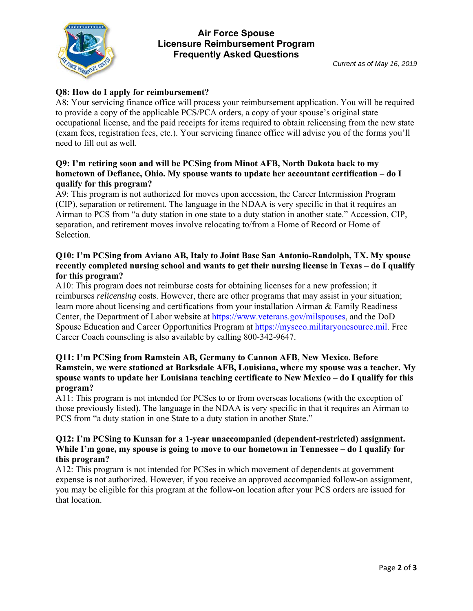

## **Air Force Spouse Licensure Reimbursement Program Frequently Asked Questions**

# **Q8: How do I apply for reimbursement?**

A8: Your servicing finance office will process your reimbursement application. You will be required to provide a copy of the applicable PCS/PCA orders, a copy of your spouse's original state occupational license, and the paid receipts for items required to obtain relicensing from the new state (exam fees, registration fees, etc.). Your servicing finance office will advise you of the forms you'll need to fill out as well.

#### **Q9: I'm retiring soon and will be PCSing from Minot AFB, North Dakota back to my hometown of Defiance, Ohio. My spouse wants to update her accountant certification – do I qualify for this program?**

A9: This program is not authorized for moves upon accession, the Career Intermission Program (CIP), separation or retirement. The language in the NDAA is very specific in that it requires an Airman to PCS from "a duty station in one state to a duty station in another state." Accession, CIP, separation, and retirement moves involve relocating to/from a Home of Record or Home of Selection.

#### **Q10: I'm PCSing from Aviano AB, Italy to Joint Base San Antonio-Randolph, TX. My spouse recently completed nursing school and wants to get their nursing license in Texas – do I qualify for this program?**

A10: This program does not reimburse costs for obtaining licenses for a new profession; it reimburses *relicensing* costs. However, there are other programs that may assist in your situation; learn more about licensing and certifications from your installation Airman & Family Readiness Center, the Department of Labor website at https://www.veterans.gov/milspouses, and the DoD Spouse Education and Career Opportunities Program at https://myseco.militaryonesource.mil. Free Career Coach counseling is also available by calling 800-342-9647.

#### **Q11: I'm PCSing from Ramstein AB, Germany to Cannon AFB, New Mexico. Before Ramstein, we were stationed at Barksdale AFB, Louisiana, where my spouse was a teacher. My spouse wants to update her Louisiana teaching certificate to New Mexico – do I qualify for this program?**

A11: This program is not intended for PCSes to or from overseas locations (with the exception of those previously listed). The language in the NDAA is very specific in that it requires an Airman to PCS from "a duty station in one State to a duty station in another State."

#### **Q12: I'm PCSing to Kunsan for a 1-year unaccompanied (dependent-restricted) assignment. While I'm gone, my spouse is going to move to our hometown in Tennessee – do I qualify for this program?**

A12: This program is not intended for PCSes in which movement of dependents at government expense is not authorized. However, if you receive an approved accompanied follow-on assignment, you may be eligible for this program at the follow-on location after your PCS orders are issued for that location.